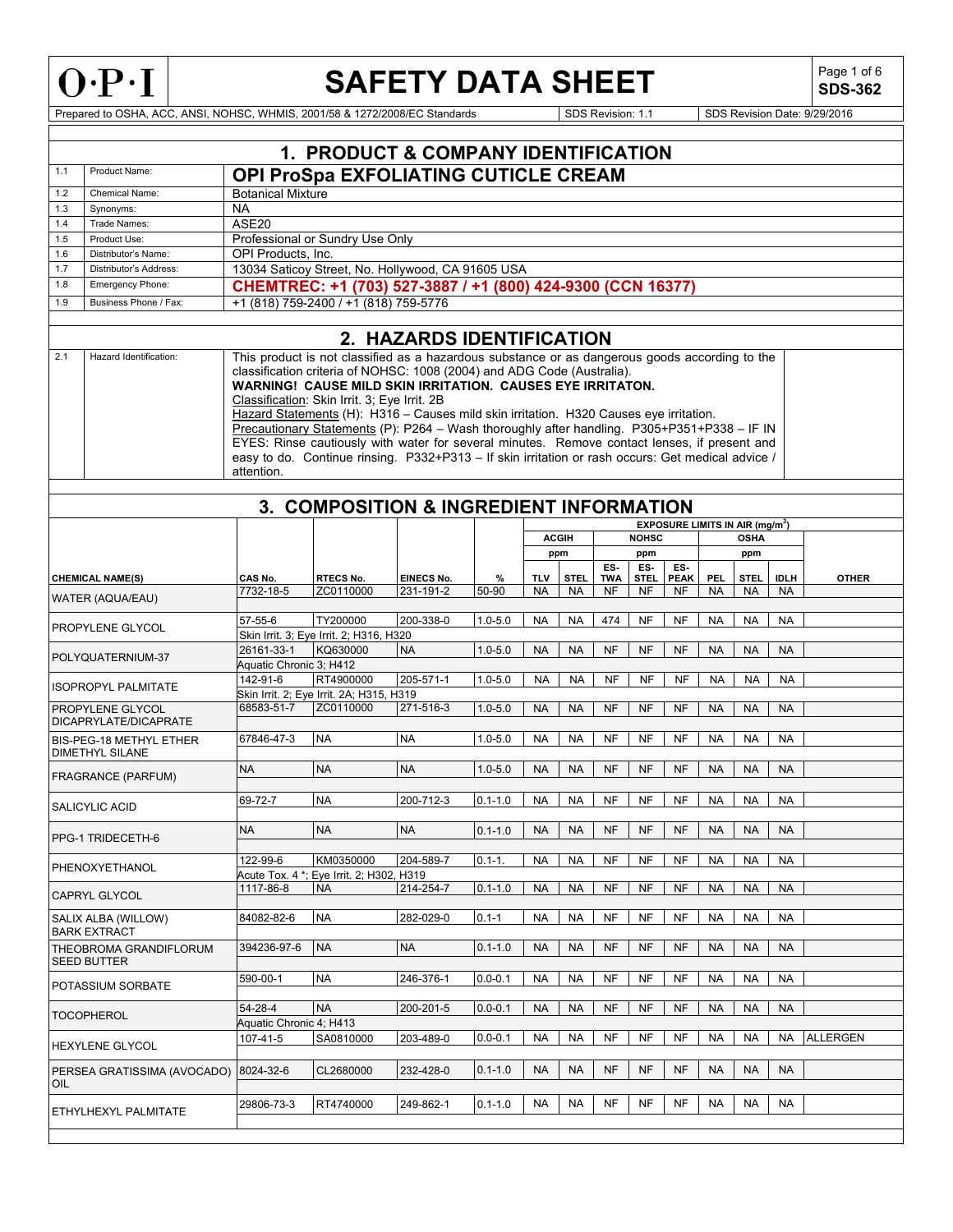

# **SAFETY DATA SHEET**

**SDS-362**

|     |                                |                                       | 1. PRODUCT & COMPANY IDENTIFICATION                                                                                                                                                                                                                                                                                                                                                                                                                                                                                                                                                                                                                                                   |                           |             |            |                |            |              |             |            |                                                  |             |                 |
|-----|--------------------------------|---------------------------------------|---------------------------------------------------------------------------------------------------------------------------------------------------------------------------------------------------------------------------------------------------------------------------------------------------------------------------------------------------------------------------------------------------------------------------------------------------------------------------------------------------------------------------------------------------------------------------------------------------------------------------------------------------------------------------------------|---------------------------|-------------|------------|----------------|------------|--------------|-------------|------------|--------------------------------------------------|-------------|-----------------|
| 1.1 | Product Name:                  |                                       | OPI ProSpa EXFOLIATING CUTICLE CREAM                                                                                                                                                                                                                                                                                                                                                                                                                                                                                                                                                                                                                                                  |                           |             |            |                |            |              |             |            |                                                  |             |                 |
| 1.2 | Chemical Name:                 | <b>Botanical Mixture</b>              |                                                                                                                                                                                                                                                                                                                                                                                                                                                                                                                                                                                                                                                                                       |                           |             |            |                |            |              |             |            |                                                  |             |                 |
| 1.3 | Synonyms:                      | <b>NA</b>                             |                                                                                                                                                                                                                                                                                                                                                                                                                                                                                                                                                                                                                                                                                       |                           |             |            |                |            |              |             |            |                                                  |             |                 |
| 1.4 | Trade Names:                   | ASE20                                 |                                                                                                                                                                                                                                                                                                                                                                                                                                                                                                                                                                                                                                                                                       |                           |             |            |                |            |              |             |            |                                                  |             |                 |
| 1.5 | Product Use:                   |                                       | Professional or Sundry Use Only                                                                                                                                                                                                                                                                                                                                                                                                                                                                                                                                                                                                                                                       |                           |             |            |                |            |              |             |            |                                                  |             |                 |
| 1.6 | Distributor's Name:            | OPI Products. Inc.                    |                                                                                                                                                                                                                                                                                                                                                                                                                                                                                                                                                                                                                                                                                       |                           |             |            |                |            |              |             |            |                                                  |             |                 |
| 1.7 | Distributor's Address:         |                                       | 13034 Saticoy Street, No. Hollywood, CA 91605 USA                                                                                                                                                                                                                                                                                                                                                                                                                                                                                                                                                                                                                                     |                           |             |            |                |            |              |             |            |                                                  |             |                 |
| 1.8 | Emergency Phone:               |                                       | CHEMTREC: +1 (703) 527-3887 / +1 (800) 424-9300 (CCN 16377)                                                                                                                                                                                                                                                                                                                                                                                                                                                                                                                                                                                                                           |                           |             |            |                |            |              |             |            |                                                  |             |                 |
| 1.9 | Business Phone / Fax:          |                                       | +1 (818) 759-2400 / +1 (818) 759-5776                                                                                                                                                                                                                                                                                                                                                                                                                                                                                                                                                                                                                                                 |                           |             |            |                |            |              |             |            |                                                  |             |                 |
|     |                                |                                       |                                                                                                                                                                                                                                                                                                                                                                                                                                                                                                                                                                                                                                                                                       |                           |             |            |                |            |              |             |            |                                                  |             |                 |
|     |                                |                                       |                                                                                                                                                                                                                                                                                                                                                                                                                                                                                                                                                                                                                                                                                       | 2. HAZARDS IDENTIFICATION |             |            |                |            |              |             |            |                                                  |             |                 |
| 2.1 | Hazard Identification:         | attention.                            | This product is not classified as a hazardous substance or as dangerous goods according to the<br>classification criteria of NOHSC: 1008 (2004) and ADG Code (Australia).<br>WARNING! CAUSE MILD SKIN IRRITATION. CAUSES EYE IRRITATON.<br>Classification: Skin Irrit. 3; Eye Irrit. 2B<br>Hazard Statements (H): H316 - Causes mild skin irritation. H320 Causes eye irritation.<br>Precautionary Statements (P): P264 - Wash thoroughly after handling. P305+P351+P338 - IF IN<br>EYES: Rinse cautiously with water for several minutes. Remove contact lenses, if present and<br>easy to do. Continue rinsing. P332+P313 - If skin irritation or rash occurs: Get medical advice / |                           |             |            |                |            |              |             |            |                                                  |             |                 |
|     |                                |                                       |                                                                                                                                                                                                                                                                                                                                                                                                                                                                                                                                                                                                                                                                                       |                           |             |            |                |            |              |             |            |                                                  |             |                 |
|     |                                |                                       | 3. COMPOSITION & INGREDIENT INFORMATION                                                                                                                                                                                                                                                                                                                                                                                                                                                                                                                                                                                                                                               |                           |             |            |                |            |              |             |            |                                                  |             |                 |
|     |                                |                                       |                                                                                                                                                                                                                                                                                                                                                                                                                                                                                                                                                                                                                                                                                       |                           |             |            |                |            |              |             |            | <b>EXPOSURE LIMITS IN AIR (mg/m<sup>3</sup>)</b> |             |                 |
|     |                                |                                       |                                                                                                                                                                                                                                                                                                                                                                                                                                                                                                                                                                                                                                                                                       |                           |             |            | <b>ACGIH</b>   |            | <b>NOHSC</b> |             |            | <b>OSHA</b>                                      |             |                 |
|     |                                |                                       |                                                                                                                                                                                                                                                                                                                                                                                                                                                                                                                                                                                                                                                                                       |                           |             |            | ppm            | ES-        | ppm<br>ES-   | ES-         |            | ppm                                              |             |                 |
|     | <b>CHEMICAL NAME(S)</b>        | CAS No.                               | RTECS No.                                                                                                                                                                                                                                                                                                                                                                                                                                                                                                                                                                                                                                                                             | <b>EINECS No.</b>         | %           | <b>TLV</b> | <b>STEL</b>    | <b>TWA</b> | <b>STEL</b>  | <b>PEAK</b> | <b>PEL</b> | <b>STEL</b>                                      | <b>IDLH</b> | <b>OTHER</b>    |
|     | WATER (AQUA/EAU)               | 7732-18-5                             | ZC0110000                                                                                                                                                                                                                                                                                                                                                                                                                                                                                                                                                                                                                                                                             | 231-191-2                 | 50-90       | <b>NA</b>  | <b>NA</b>      | <b>NF</b>  | <b>NF</b>    | <b>NF</b>   | <b>NA</b>  | <b>NA</b>                                        | <b>NA</b>   |                 |
|     |                                |                                       |                                                                                                                                                                                                                                                                                                                                                                                                                                                                                                                                                                                                                                                                                       |                           |             |            |                |            |              |             |            |                                                  |             |                 |
|     | <b>PROPYLENE GLYCOL</b>        | 57-55-6                               | TY200000                                                                                                                                                                                                                                                                                                                                                                                                                                                                                                                                                                                                                                                                              | 200-338-0                 | $1.0 - 5.0$ | <b>NA</b>  | <b>NA</b>      | 474        | <b>NF</b>    | <b>NF</b>   | <b>NA</b>  | <b>NA</b>                                        | <b>NA</b>   |                 |
|     |                                |                                       | Skin Irrit. 3; Eye Irrit. 2; H316, H320                                                                                                                                                                                                                                                                                                                                                                                                                                                                                                                                                                                                                                               | <b>NA</b>                 |             |            |                |            |              |             |            |                                                  |             |                 |
|     | POLYQUATERNIUM-37              | 26161-33-1<br>Aquatic Chronic 3; H412 | KQ630000                                                                                                                                                                                                                                                                                                                                                                                                                                                                                                                                                                                                                                                                              |                           | $1.0 - 5.0$ | <b>NA</b>  | <b>NA</b>      | <b>NF</b>  | <b>NF</b>    | <b>NF</b>   | <b>NA</b>  | <b>NA</b>                                        | <b>NA</b>   |                 |
|     |                                | 142-91-6                              | RT4900000                                                                                                                                                                                                                                                                                                                                                                                                                                                                                                                                                                                                                                                                             | 205-571-1                 | $1.0 - 5.0$ | <b>NA</b>  | <b>NA</b>      | NF         | NF           | NF          | <b>NA</b>  | <b>NA</b>                                        | <b>NA</b>   |                 |
|     | <b>ISOPROPYL PALMITATE</b>     |                                       | Skin Irrit. 2; Eye Irrit. 2A; H315, H319                                                                                                                                                                                                                                                                                                                                                                                                                                                                                                                                                                                                                                              |                           |             |            |                |            |              |             |            |                                                  |             |                 |
|     | PROPYLENE GLYCOL               | 68583-51-7                            | ZC0110000                                                                                                                                                                                                                                                                                                                                                                                                                                                                                                                                                                                                                                                                             | 271-516-3                 | $1.0 - 5.0$ | <b>NA</b>  | <b>NA</b>      | <b>NF</b>  | NF           | <b>NF</b>   | <b>NA</b>  | <b>NA</b>                                        | <b>NA</b>   |                 |
|     | DICAPRYLATE/DICAPRATE          |                                       |                                                                                                                                                                                                                                                                                                                                                                                                                                                                                                                                                                                                                                                                                       |                           |             |            |                |            |              |             |            |                                                  |             |                 |
|     | <b>BIS-PEG-18 METHYL ETHER</b> | 67846-47-3                            | <b>NA</b>                                                                                                                                                                                                                                                                                                                                                                                                                                                                                                                                                                                                                                                                             | <b>NA</b>                 | $1.0 - 5.0$ | <b>NA</b>  | <b>NA</b>      | <b>NF</b>  | <b>NF</b>    | <b>NF</b>   | <b>NA</b>  | <b>NA</b>                                        | <b>NA</b>   |                 |
|     | <b>DIMETHYL SILANE</b>         |                                       |                                                                                                                                                                                                                                                                                                                                                                                                                                                                                                                                                                                                                                                                                       |                           |             |            |                |            |              |             |            |                                                  |             |                 |
|     | <b>FRAGRANCE (PARFUM)</b>      | <b>NA</b>                             | <b>NA</b>                                                                                                                                                                                                                                                                                                                                                                                                                                                                                                                                                                                                                                                                             | <b>NA</b>                 | $1.0 - 5.0$ | <b>NA</b>  | <b>NA</b>      | <b>NF</b>  | NF           | <b>NF</b>   | <b>NA</b>  | <b>NA</b>                                        | <b>NA</b>   |                 |
|     |                                |                                       |                                                                                                                                                                                                                                                                                                                                                                                                                                                                                                                                                                                                                                                                                       |                           |             |            |                |            |              |             |            |                                                  |             |                 |
|     | SALICYLIC ACID                 | 69-72-7                               | <b>NA</b>                                                                                                                                                                                                                                                                                                                                                                                                                                                                                                                                                                                                                                                                             | 200-712-3                 | $0.1 - 1.0$ | <b>NA</b>  | <b>NA</b>      | <b>NF</b>  | <b>NF</b>    | <b>NF</b>   | <b>NA</b>  | <b>NA</b>                                        | <b>NA</b>   |                 |
|     |                                |                                       |                                                                                                                                                                                                                                                                                                                                                                                                                                                                                                                                                                                                                                                                                       |                           |             |            |                |            |              |             |            |                                                  |             |                 |
|     | PPG-1 TRIDECETH-6              | <b>NA</b>                             | <b>NA</b>                                                                                                                                                                                                                                                                                                                                                                                                                                                                                                                                                                                                                                                                             | <b>NA</b>                 | $0.1 - 1.0$ |            | NA NA NF NF NF |            |              |             | <b>NA</b>  | <b>NA</b>                                        | <b>NA</b>   |                 |
|     |                                | 122-99-6                              |                                                                                                                                                                                                                                                                                                                                                                                                                                                                                                                                                                                                                                                                                       | 204-589-7                 |             | <b>NA</b>  |                | <b>NF</b>  |              | NF          | <b>NA</b>  |                                                  | <b>NA</b>   |                 |
|     | PHENOXYETHANOL                 |                                       | KM0350000<br>Acute Tox. 4 *; Eye Irrit. 2; H302, H319                                                                                                                                                                                                                                                                                                                                                                                                                                                                                                                                                                                                                                 |                           | $0.1 - 1.$  |            | <b>NA</b>      |            | NF           |             |            | <b>NA</b>                                        |             |                 |
|     |                                | 1117-86-8                             | <b>NA</b>                                                                                                                                                                                                                                                                                                                                                                                                                                                                                                                                                                                                                                                                             | 214-254-7                 | $0.1 - 1.0$ | <b>NA</b>  | <b>NA</b>      | <b>NF</b>  | <b>NF</b>    | <b>NF</b>   | <b>NA</b>  | <b>NA</b>                                        | <b>NA</b>   |                 |
|     | <b>CAPRYL GLYCOL</b>           |                                       |                                                                                                                                                                                                                                                                                                                                                                                                                                                                                                                                                                                                                                                                                       |                           |             |            |                |            |              |             |            |                                                  |             |                 |
|     | SALIX ALBA (WILLOW)            | 84082-82-6                            | <b>NA</b>                                                                                                                                                                                                                                                                                                                                                                                                                                                                                                                                                                                                                                                                             | 282-029-0                 | $0.1 - 1$   | <b>NA</b>  | <b>NA</b>      | NF         | NF           | NF          | <b>NA</b>  | <b>NA</b>                                        | <b>NA</b>   |                 |
|     | <b>BARK EXTRACT</b>            |                                       |                                                                                                                                                                                                                                                                                                                                                                                                                                                                                                                                                                                                                                                                                       |                           |             |            |                |            |              |             |            |                                                  |             |                 |
|     | THEOBROMA GRANDIFLORUM         | 394236-97-6                           | <b>NA</b>                                                                                                                                                                                                                                                                                                                                                                                                                                                                                                                                                                                                                                                                             | <b>NA</b>                 | $0.1 - 1.0$ | <b>NA</b>  | <b>NA</b>      | <b>NF</b>  | <b>NF</b>    | <b>NF</b>   | <b>NA</b>  | <b>NA</b>                                        | <b>NA</b>   |                 |
|     | <b>SEED BUTTER</b>             |                                       |                                                                                                                                                                                                                                                                                                                                                                                                                                                                                                                                                                                                                                                                                       |                           |             |            |                |            |              |             |            |                                                  |             |                 |
|     | POTASSIUM SORBATE              | 590-00-1                              | <b>NA</b>                                                                                                                                                                                                                                                                                                                                                                                                                                                                                                                                                                                                                                                                             | 246-376-1                 | $0.0 - 0.1$ | <b>NA</b>  | <b>NA</b>      | <b>NF</b>  | NF           | NF          | <b>NA</b>  | <b>NA</b>                                        | <b>NA</b>   |                 |
|     |                                |                                       |                                                                                                                                                                                                                                                                                                                                                                                                                                                                                                                                                                                                                                                                                       |                           |             |            |                |            |              |             |            |                                                  |             |                 |
|     | <b>TOCOPHEROL</b>              | 54-28-4                               | <b>NA</b>                                                                                                                                                                                                                                                                                                                                                                                                                                                                                                                                                                                                                                                                             | 200-201-5                 | $0.0 - 0.1$ | <b>NA</b>  | <b>NA</b>      | <b>NF</b>  | <b>NF</b>    | <b>NF</b>   | <b>NA</b>  | <b>NA</b>                                        | <b>NA</b>   |                 |
|     |                                | Aquatic Chronic 4; H413               |                                                                                                                                                                                                                                                                                                                                                                                                                                                                                                                                                                                                                                                                                       |                           |             |            |                |            |              |             |            |                                                  |             | <b>ALLERGEN</b> |
|     | <b>HEXYLENE GLYCOL</b>         | 107-41-5                              | SA0810000                                                                                                                                                                                                                                                                                                                                                                                                                                                                                                                                                                                                                                                                             | 203-489-0                 | $0.0 - 0.1$ | <b>NA</b>  | <b>NA</b>      | <b>NF</b>  | NF           | <b>NF</b>   | <b>NA</b>  | <b>NA</b>                                        | <b>NA</b>   |                 |
|     |                                |                                       |                                                                                                                                                                                                                                                                                                                                                                                                                                                                                                                                                                                                                                                                                       |                           | $0.1 - 1.0$ | <b>NA</b>  | <b>NA</b>      | <b>NF</b>  | <b>NF</b>    | <b>NF</b>   | <b>NA</b>  | <b>NA</b>                                        | <b>NA</b>   |                 |
| OIL | PERSEA GRATISSIMA (AVOCADO)    | 8024-32-6                             | CL2680000                                                                                                                                                                                                                                                                                                                                                                                                                                                                                                                                                                                                                                                                             | 232-428-0                 |             |            |                |            |              |             |            |                                                  |             |                 |
|     |                                |                                       |                                                                                                                                                                                                                                                                                                                                                                                                                                                                                                                                                                                                                                                                                       |                           |             |            |                |            |              |             |            |                                                  |             |                 |
|     | ETHYLHEXYL PALMITATE           | 29806-73-3                            | RT4740000                                                                                                                                                                                                                                                                                                                                                                                                                                                                                                                                                                                                                                                                             | 249-862-1                 | $0.1 - 1.0$ | <b>NA</b>  | <b>NA</b>      | <b>NF</b>  | NF           | NF          | <b>NA</b>  | <b>NA</b>                                        | <b>NA</b>   |                 |
|     |                                |                                       |                                                                                                                                                                                                                                                                                                                                                                                                                                                                                                                                                                                                                                                                                       |                           |             |            |                |            |              |             |            |                                                  |             |                 |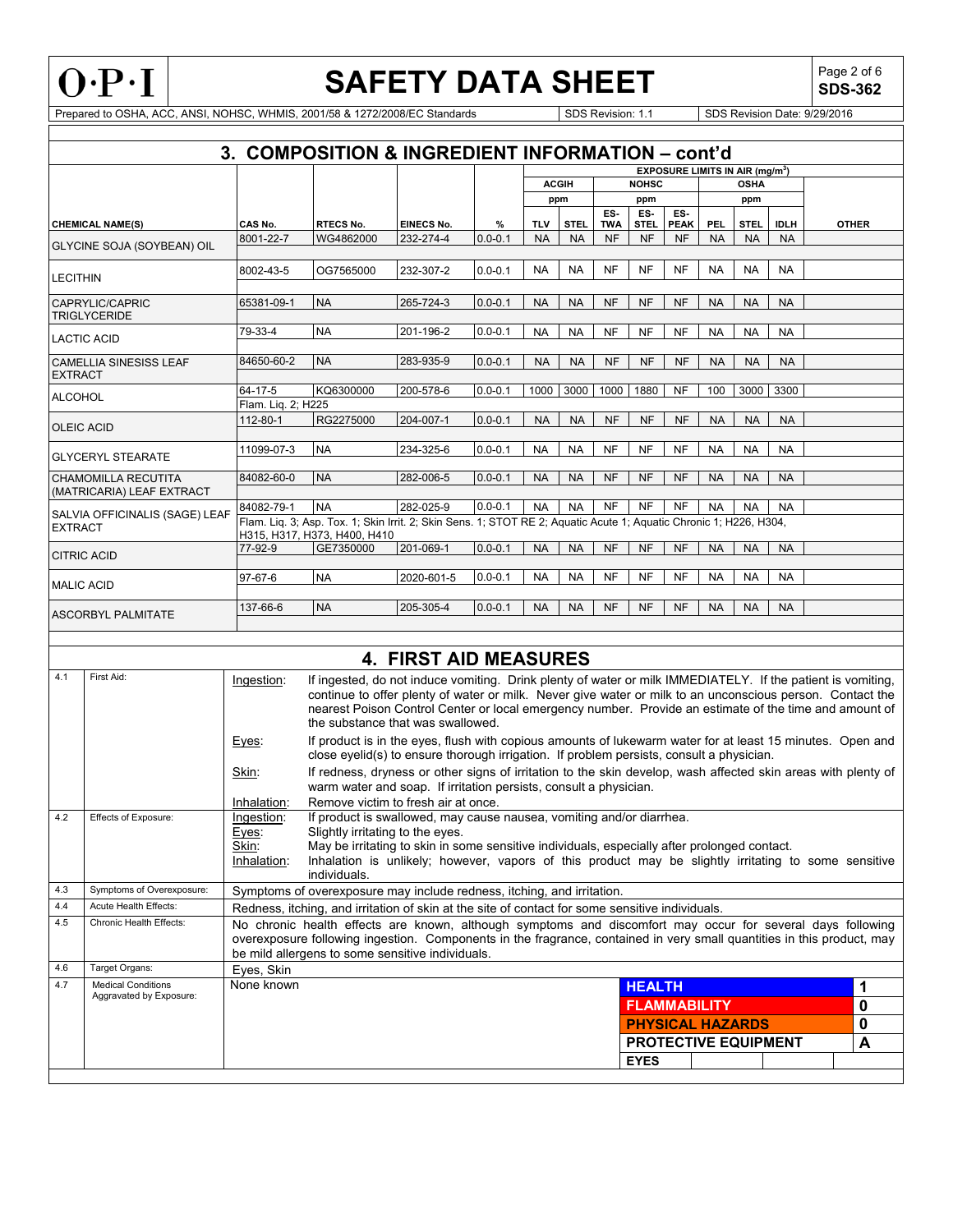

**SDS-362**

|                   | 3.                                     |                     | <b>COMPOSITION &amp; INGREDIENT INFORMATION - cont'd</b>                                                                                           |                              |             |            |              |                   |                    |                    |           |                                                                 |             |                                                                                                                                                                                                                                                                                                                                    |
|-------------------|----------------------------------------|---------------------|----------------------------------------------------------------------------------------------------------------------------------------------------|------------------------------|-------------|------------|--------------|-------------------|--------------------|--------------------|-----------|-----------------------------------------------------------------|-------------|------------------------------------------------------------------------------------------------------------------------------------------------------------------------------------------------------------------------------------------------------------------------------------------------------------------------------------|
|                   |                                        |                     |                                                                                                                                                    |                              |             |            |              |                   |                    |                    |           |                                                                 |             |                                                                                                                                                                                                                                                                                                                                    |
|                   |                                        |                     |                                                                                                                                                    |                              |             |            | <b>ACGIH</b> |                   | <b>NOHSC</b>       |                    |           | <b>EXPOSURE LIMITS IN AIR (mg/m<sup>3</sup>)</b><br><b>OSHA</b> |             |                                                                                                                                                                                                                                                                                                                                    |
|                   |                                        |                     |                                                                                                                                                    |                              |             |            | ppm          |                   | ppm                |                    |           | ppm                                                             |             |                                                                                                                                                                                                                                                                                                                                    |
|                   | <b>CHEMICAL NAME(S)</b>                | CAS No.             | <b>RTECS No.</b>                                                                                                                                   | <b>EINECS No.</b>            | $\%$        | <b>TLV</b> | <b>STEL</b>  | ES-<br><b>TWA</b> | ES-<br><b>STEL</b> | ES.<br><b>PEAK</b> | PEL.      | <b>STEL</b>                                                     | <b>IDLH</b> | <b>OTHER</b>                                                                                                                                                                                                                                                                                                                       |
|                   | GLYCINE SOJA (SOYBEAN) OIL             | 8001-22-7           | WG4862000                                                                                                                                          | 232-274-4                    | $0.0 - 0.1$ | <b>NA</b>  | <b>NA</b>    | <b>NF</b>         | <b>NF</b>          | <b>NF</b>          | <b>NA</b> | <b>NA</b>                                                       | <b>NA</b>   |                                                                                                                                                                                                                                                                                                                                    |
| <b>LECITHIN</b>   |                                        | 8002-43-5           | OG7565000                                                                                                                                          | 232-307-2                    | $0.0 - 0.1$ | <b>NA</b>  | <b>NA</b>    | <b>NF</b>         | <b>NF</b>          | <b>NF</b>          | <b>NA</b> | <b>NA</b>                                                       | <b>NA</b>   |                                                                                                                                                                                                                                                                                                                                    |
|                   | CAPRYLIC/CAPRIC<br><b>TRIGLYCERIDE</b> | 65381-09-1          | <b>NA</b>                                                                                                                                          | 265-724-3                    | $0.0 - 0.1$ | <b>NA</b>  | <b>NA</b>    | <b>NF</b>         | <b>NF</b>          | <b>NF</b>          | <b>NA</b> | <b>NA</b>                                                       | <b>NA</b>   |                                                                                                                                                                                                                                                                                                                                    |
|                   | <b>LACTIC ACID</b>                     | 79-33-4             | <b>NA</b>                                                                                                                                          | 201-196-2                    | $0.0 - 0.1$ | <b>NA</b>  | <b>NA</b>    | <b>NF</b>         | <b>NF</b>          | <b>NF</b>          | <b>NA</b> | <b>NA</b>                                                       | <b>NA</b>   |                                                                                                                                                                                                                                                                                                                                    |
| <b>EXTRACT</b>    | <b>CAMELLIA SINESISS LEAF</b>          | 84650-60-2          | <b>NA</b>                                                                                                                                          | 283-935-9                    | $0.0 - 0.1$ | <b>NA</b>  | <b>NA</b>    | <b>NF</b>         | <b>NF</b>          | <b>NF</b>          | <b>NA</b> | <b>NA</b>                                                       | <b>NA</b>   |                                                                                                                                                                                                                                                                                                                                    |
| <b>ALCOHOL</b>    |                                        | 64-17-5             | KQ6300000                                                                                                                                          | 200-578-6                    | $0.0 - 0.1$ | 1000       | 3000         | 1000              | 1880               | <b>NF</b>          | 100       | 3000                                                            | 3300        |                                                                                                                                                                                                                                                                                                                                    |
|                   |                                        | Flam. Lig. 2; H225  |                                                                                                                                                    |                              |             |            |              |                   |                    |                    |           |                                                                 |             |                                                                                                                                                                                                                                                                                                                                    |
| <b>OLEIC ACID</b> |                                        | 112-80-1            | RG2275000                                                                                                                                          | 204-007-1                    | $0.0 - 0.1$ | <b>NA</b>  | <b>NA</b>    | <b>NF</b>         | <b>NF</b>          | <b>NF</b>          | <b>NA</b> | <b>NA</b>                                                       | <b>NA</b>   |                                                                                                                                                                                                                                                                                                                                    |
|                   | <b>GLYCERYL STEARATE</b>               | 11099-07-3          | <b>NA</b>                                                                                                                                          | 234-325-6                    | $0.0 - 0.1$ | <b>NA</b>  | <b>NA</b>    | <b>NF</b>         | <b>NF</b>          | <b>NF</b>          | <b>NA</b> | <b>NA</b>                                                       | <b>NA</b>   |                                                                                                                                                                                                                                                                                                                                    |
|                   | CHAMOMILLA RECUTITA                    | 84082-60-0          | <b>NA</b>                                                                                                                                          | 282-006-5                    | $0.0 - 0.1$ | <b>NA</b>  | <b>NA</b>    | <b>NF</b>         | <b>NF</b>          | <b>NF</b>          | <b>NA</b> | <b>NA</b>                                                       | <b>NA</b>   |                                                                                                                                                                                                                                                                                                                                    |
|                   | (MATRICARIA) LEAF EXTRACT              | 84082-79-1          | <b>NA</b>                                                                                                                                          | 282-025-9                    | $0.0 - 0.1$ | <b>NA</b>  | <b>NA</b>    | <b>NF</b>         | <b>NF</b>          | <b>NF</b>          | <b>NA</b> | <b>NA</b>                                                       | <b>NA</b>   |                                                                                                                                                                                                                                                                                                                                    |
| <b>EXTRACT</b>    | SALVIA OFFICINALIS (SAGE) LEAF         |                     | Flam. Liq. 3; Asp. Tox. 1; Skin Irrit. 2; Skin Sens. 1; STOT RE 2; Aquatic Acute 1; Aquatic Chronic 1; H226, H304,<br>H315, H317, H373, H400, H410 |                              |             |            |              |                   |                    |                    |           |                                                                 |             |                                                                                                                                                                                                                                                                                                                                    |
|                   | <b>CITRIC ACID</b>                     | 77-92-9             | GE7350000                                                                                                                                          | 201-069-1                    | $0.0 - 0.1$ | <b>NA</b>  | <b>NA</b>    | <b>NF</b>         | <b>NF</b>          | <b>NF</b>          | <b>NA</b> | <b>NA</b>                                                       | <b>NA</b>   |                                                                                                                                                                                                                                                                                                                                    |
| <b>MALIC ACID</b> |                                        | 97-67-6             | <b>NA</b>                                                                                                                                          | 2020-601-5                   | $0.0 - 0.1$ | <b>NA</b>  | <b>NA</b>    | <b>NF</b>         | <b>NF</b>          | <b>NF</b>          | <b>NA</b> | <b>NA</b>                                                       | <b>NA</b>   |                                                                                                                                                                                                                                                                                                                                    |
|                   | <b>ASCORBYL PALMITATE</b>              | 137-66-6            | <b>NA</b>                                                                                                                                          | 205-305-4                    | $0.0 - 0.1$ | <b>NA</b>  | <b>NA</b>    | <b>NF</b>         | <b>NF</b>          | <b>NF</b>          | <b>NA</b> | <b>NA</b>                                                       | <b>NA</b>   |                                                                                                                                                                                                                                                                                                                                    |
|                   |                                        |                     |                                                                                                                                                    |                              |             |            |              |                   |                    |                    |           |                                                                 |             |                                                                                                                                                                                                                                                                                                                                    |
|                   |                                        |                     |                                                                                                                                                    | <b>4. FIRST AID MEASURES</b> |             |            |              |                   |                    |                    |           |                                                                 |             |                                                                                                                                                                                                                                                                                                                                    |
| 4.1               | First Aid:                             | Ingestion:          | the substance that was swallowed.                                                                                                                  |                              |             |            |              |                   |                    |                    |           |                                                                 |             | If ingested, do not induce vomiting. Drink plenty of water or milk IMMEDIATELY. If the patient is vomiting,<br>continue to offer plenty of water or milk. Never give water or milk to an unconscious person. Contact the<br>nearest Poison Control Center or local emergency number. Provide an estimate of the time and amount of |
|                   |                                        | Eyes:               | close eyelid(s) to ensure thorough irrigation. If problem persists, consult a physician.                                                           |                              |             |            |              |                   |                    |                    |           |                                                                 |             | If product is in the eyes, flush with copious amounts of lukewarm water for at least 15 minutes. Open and                                                                                                                                                                                                                          |
|                   |                                        | Skin:               | warm water and soap. If irritation persists, consult a physician.                                                                                  |                              |             |            |              |                   |                    |                    |           |                                                                 |             | If redness, dryness or other signs of irritation to the skin develop, wash affected skin areas with plenty of                                                                                                                                                                                                                      |
|                   |                                        | Inhalation:         | Remove victim to fresh air at once.                                                                                                                |                              |             |            |              |                   |                    |                    |           |                                                                 |             |                                                                                                                                                                                                                                                                                                                                    |
| 4.2               | Effects of Exposure:                   | Ingestion:<br>Eyes: | If product is swallowed, may cause nausea, vomiting and/or diarrhea.<br>Slightly irritating to the eyes.                                           |                              |             |            |              |                   |                    |                    |           |                                                                 |             |                                                                                                                                                                                                                                                                                                                                    |

|     |                           | <u>— , — —</u><br>Skin:<br>May be irritating to skin in some sensitive individuals, especially after prolonged contact.<br>Inhalation is unlikely; however, vapors of this product may be slightly irritating to some sensitive<br>Inhalation:<br>individuals.                           |                             |   |
|-----|---------------------------|------------------------------------------------------------------------------------------------------------------------------------------------------------------------------------------------------------------------------------------------------------------------------------------|-----------------------------|---|
| 4.3 | Symptoms of Overexposure: | Symptoms of overexposure may include redness, itching, and irritation.                                                                                                                                                                                                                   |                             |   |
| 4.4 | Acute Health Effects:     | Redness, itching, and irritation of skin at the site of contact for some sensitive individuals.                                                                                                                                                                                          |                             |   |
| 4.5 | Chronic Health Effects:   | No chronic health effects are known, although symptoms and discomfort may occur for several days following<br>overexposure following ingestion. Components in the fragrance, contained in very small quantities in this product, may<br>be mild allergens to some sensitive individuals. |                             |   |
| 4.6 | Target Organs:            | Eves, Skin                                                                                                                                                                                                                                                                               |                             |   |
| 4.7 | <b>Medical Conditions</b> | None known                                                                                                                                                                                                                                                                               | <b>HEALTH</b>               |   |
|     | Aggravated by Exposure:   |                                                                                                                                                                                                                                                                                          | <b>FLAMMABILITY</b>         |   |
|     |                           |                                                                                                                                                                                                                                                                                          | <b>PHYSICAL HAZARDS</b>     |   |
|     |                           |                                                                                                                                                                                                                                                                                          | <b>PROTECTIVE EQUIPMENT</b> | A |
|     |                           |                                                                                                                                                                                                                                                                                          | <b>EYES</b>                 |   |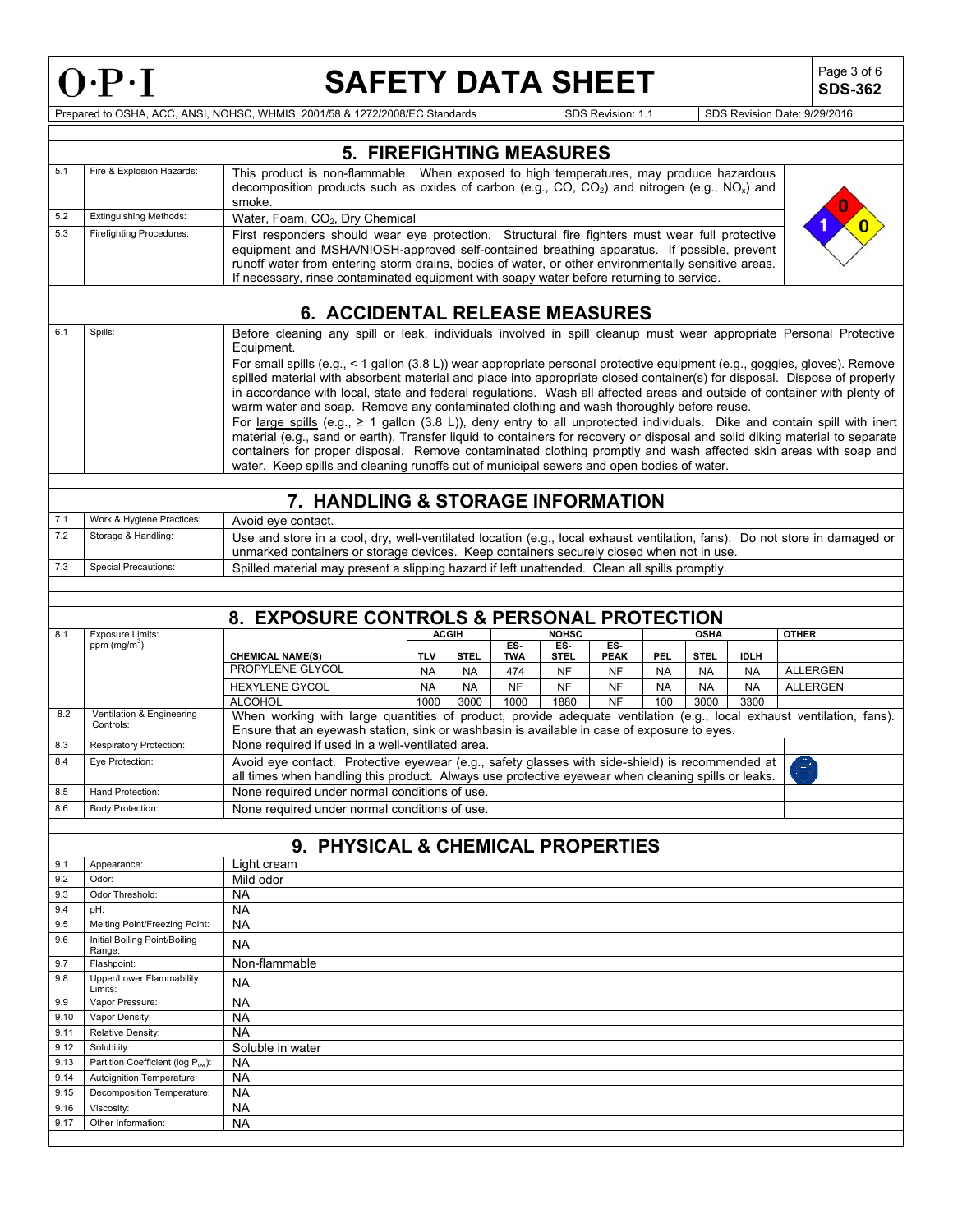

**SDS-362**

|              |                                         | <b>5. FIREFIGHTING MEASURES</b>                                                                                                                                                                                     |            |              |                   |                    |                    |            |             |             |                 |
|--------------|-----------------------------------------|---------------------------------------------------------------------------------------------------------------------------------------------------------------------------------------------------------------------|------------|--------------|-------------------|--------------------|--------------------|------------|-------------|-------------|-----------------|
| 5.1          | Fire & Explosion Hazards:               | This product is non-flammable. When exposed to high temperatures, may produce hazardous<br>decomposition products such as oxides of carbon (e.g., CO, CO <sub>2</sub> ) and nitrogen (e.g., NO <sub>x</sub> ) and   |            |              |                   |                    |                    |            |             |             |                 |
| 5.2          | <b>Extinguishing Methods:</b>           | smoke.                                                                                                                                                                                                              |            |              |                   |                    |                    |            |             |             |                 |
| 5.3          | <b>Firefighting Procedures:</b>         | Water, Foam, CO <sub>2</sub> , Dry Chemical                                                                                                                                                                         |            |              |                   |                    |                    |            |             |             |                 |
|              |                                         | First responders should wear eye protection. Structural fire fighters must wear full protective<br>equipment and MSHA/NIOSH-approved self-contained breathing apparatus. If possible, prevent                       |            |              |                   |                    |                    |            |             |             |                 |
|              |                                         | runoff water from entering storm drains, bodies of water, or other environmentally sensitive areas.                                                                                                                 |            |              |                   |                    |                    |            |             |             |                 |
|              |                                         | If necessary, rinse contaminated equipment with soapy water before returning to service.                                                                                                                            |            |              |                   |                    |                    |            |             |             |                 |
|              |                                         |                                                                                                                                                                                                                     |            |              |                   |                    |                    |            |             |             |                 |
| 6.1          | Spills:                                 | <b>6. ACCIDENTAL RELEASE MEASURES</b><br>Before cleaning any spill or leak, individuals involved in spill cleanup must wear appropriate Personal Protective                                                         |            |              |                   |                    |                    |            |             |             |                 |
|              |                                         | Equipment.                                                                                                                                                                                                          |            |              |                   |                    |                    |            |             |             |                 |
|              |                                         | For small spills (e.g., < 1 gallon (3.8 L)) wear appropriate personal protective equipment (e.g., goggles, gloves). Remove                                                                                          |            |              |                   |                    |                    |            |             |             |                 |
|              |                                         | spilled material with absorbent material and place into appropriate closed container(s) for disposal. Dispose of properly                                                                                           |            |              |                   |                    |                    |            |             |             |                 |
|              |                                         | in accordance with local, state and federal regulations. Wash all affected areas and outside of container with plenty of<br>warm water and soap. Remove any contaminated clothing and wash thoroughly before reuse. |            |              |                   |                    |                    |            |             |             |                 |
|              |                                         | For large spills (e.g., $\geq 1$ gallon (3.8 L)), deny entry to all unprotected individuals. Dike and contain spill with inert                                                                                      |            |              |                   |                    |                    |            |             |             |                 |
|              |                                         | material (e.g., sand or earth). Transfer liquid to containers for recovery or disposal and solid diking material to separate                                                                                        |            |              |                   |                    |                    |            |             |             |                 |
|              |                                         | containers for proper disposal. Remove contaminated clothing promptly and wash affected skin areas with soap and                                                                                                    |            |              |                   |                    |                    |            |             |             |                 |
|              |                                         | water. Keep spills and cleaning runoffs out of municipal sewers and open bodies of water.                                                                                                                           |            |              |                   |                    |                    |            |             |             |                 |
|              |                                         | 7. HANDLING & STORAGE INFORMATION                                                                                                                                                                                   |            |              |                   |                    |                    |            |             |             |                 |
| 7.1          | Work & Hygiene Practices:               | Avoid eye contact.                                                                                                                                                                                                  |            |              |                   |                    |                    |            |             |             |                 |
| 7.2          | Storage & Handling:                     | Use and store in a cool, dry, well-ventilated location (e.g., local exhaust ventilation, fans). Do not store in damaged or                                                                                          |            |              |                   |                    |                    |            |             |             |                 |
| 7.3          | <b>Special Precautions:</b>             | unmarked containers or storage devices. Keep containers securely closed when not in use.                                                                                                                            |            |              |                   |                    |                    |            |             |             |                 |
|              |                                         | Spilled material may present a slipping hazard if left unattended. Clean all spills promptly.                                                                                                                       |            |              |                   |                    |                    |            |             |             |                 |
|              |                                         |                                                                                                                                                                                                                     |            |              |                   |                    |                    |            |             |             |                 |
|              |                                         | 8. EXPOSURE CONTROLS & PERSONAL PROTECTION                                                                                                                                                                          |            |              |                   |                    |                    |            |             |             |                 |
| 8.1          | <b>Exposure Limits:</b>                 |                                                                                                                                                                                                                     |            | <b>ACGIH</b> |                   | <b>NOHSC</b>       |                    |            | <b>OSHA</b> |             | <b>OTHER</b>    |
|              | ppm $(mg/m3)$                           | <b>CHEMICAL NAME(S)</b>                                                                                                                                                                                             | <b>TLV</b> | <b>STEL</b>  | ES.<br><b>TWA</b> | ES.<br><b>STEL</b> | ES.<br><b>PEAK</b> | <b>PEL</b> | <b>STEL</b> | <b>IDLH</b> |                 |
|              |                                         | PROPYLENE GLYCOL                                                                                                                                                                                                    | <b>NA</b>  | <b>NA</b>    | 474               | <b>NF</b>          | <b>NF</b>          | <b>NA</b>  | <b>NA</b>   | <b>NA</b>   | <b>ALLERGEN</b> |
|              |                                         | <b>HEXYLENE GYCOL</b>                                                                                                                                                                                               | <b>NA</b>  | <b>NA</b>    | <b>NF</b>         | <b>NF</b>          | <b>NF</b>          | <b>NA</b>  | <b>NA</b>   | <b>NA</b>   | <b>ALLERGEN</b> |
| 8.2          | Ventilation & Engineering               | <b>ALCOHOL</b><br>When working with large quantities of product, provide adequate ventilation (e.g., local exhaust ventilation, fans).                                                                              | 1000       | 3000         | 1000              | 1880               | NF                 | 100        | 3000        | 3300        |                 |
|              | Controls:                               | Ensure that an eyewash station, sink or washbasin is available in case of exposure to eyes.                                                                                                                         |            |              |                   |                    |                    |            |             |             |                 |
| 8.3          | Respiratory Protection:                 | None required if used in a well-ventilated area.                                                                                                                                                                    |            |              |                   |                    |                    |            |             |             |                 |
| 8.4          | Eye Protection:                         | Avoid eye contact. Protective eyewear (e.g., safety glasses with side-shield) is recommended at                                                                                                                     |            |              |                   |                    |                    |            |             |             | g.              |
|              |                                         | all times when handling this product. Always use protective eyewear when cleaning spills or leaks.                                                                                                                  |            |              |                   |                    |                    |            |             |             |                 |
| 8.5          | Hand Protection:                        | None required under normal conditions of use.                                                                                                                                                                       |            |              |                   |                    |                    |            |             |             |                 |
| 8.6          | <b>Body Protection:</b>                 | None required under normal conditions of use.                                                                                                                                                                       |            |              |                   |                    |                    |            |             |             |                 |
|              |                                         | 9. PHYSICAL & CHEMICAL PROPERTIES                                                                                                                                                                                   |            |              |                   |                    |                    |            |             |             |                 |
| 9.1          | Appearance:                             | Light cream                                                                                                                                                                                                         |            |              |                   |                    |                    |            |             |             |                 |
| 9.2          | Odor:                                   | Mild odor                                                                                                                                                                                                           |            |              |                   |                    |                    |            |             |             |                 |
| 9.3          | Odor Threshold:                         | <b>NA</b>                                                                                                                                                                                                           |            |              |                   |                    |                    |            |             |             |                 |
| 9.4          | pH:                                     | <b>NA</b>                                                                                                                                                                                                           |            |              |                   |                    |                    |            |             |             |                 |
| 9.5          | Melting Point/Freezing Point:           | <b>NA</b>                                                                                                                                                                                                           |            |              |                   |                    |                    |            |             |             |                 |
| 9.6          | Initial Boiling Point/Boiling<br>Range: | <b>NA</b>                                                                                                                                                                                                           |            |              |                   |                    |                    |            |             |             |                 |
| 9.7          | Flashpoint:                             | Non-flammable                                                                                                                                                                                                       |            |              |                   |                    |                    |            |             |             |                 |
| 9.8          | Upper/Lower Flammability<br>Limits:     | <b>NA</b>                                                                                                                                                                                                           |            |              |                   |                    |                    |            |             |             |                 |
| 9.9          | Vapor Pressure:                         | <b>NA</b>                                                                                                                                                                                                           |            |              |                   |                    |                    |            |             |             |                 |
| 9.10         | Vapor Density:                          | <b>NA</b>                                                                                                                                                                                                           |            |              |                   |                    |                    |            |             |             |                 |
| 9.11<br>9.12 | Relative Density:<br>Solubility:        | <b>NA</b><br>Soluble in water                                                                                                                                                                                       |            |              |                   |                    |                    |            |             |             |                 |
| 9.13         | Partition Coefficient (log Pow):        | <b>NA</b>                                                                                                                                                                                                           |            |              |                   |                    |                    |            |             |             |                 |
| 9.14         | Autoignition Temperature:               | <b>NA</b>                                                                                                                                                                                                           |            |              |                   |                    |                    |            |             |             |                 |
| 9.15         | Decomposition Temperature:              | <b>NA</b>                                                                                                                                                                                                           |            |              |                   |                    |                    |            |             |             |                 |
| 9.16         | Viscosity:                              | <b>NA</b>                                                                                                                                                                                                           |            |              |                   |                    |                    |            |             |             |                 |
| 9.17         | Other Information:                      | <b>NA</b>                                                                                                                                                                                                           |            |              |                   |                    |                    |            |             |             |                 |
|              |                                         |                                                                                                                                                                                                                     |            |              |                   |                    |                    |            |             |             |                 |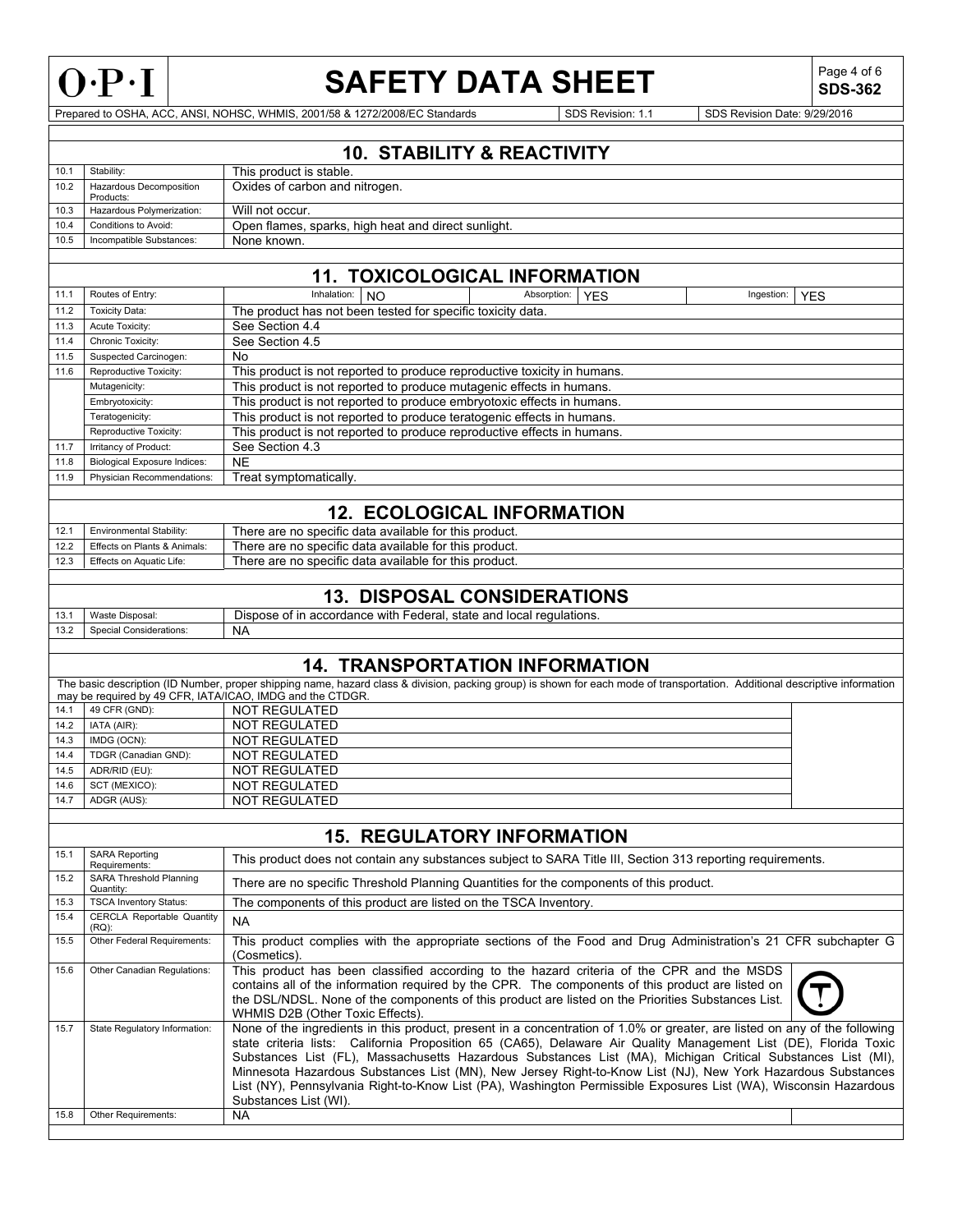

**SDS-362**

Prepared to OSHA, ACC, ANSI, NOHSC, WHMIS, 2001/58 & 1272/2008/EC Standards SDS Revision: 1.1 SDS Revision Date: 9/29/2016

## **10. STABILITY & REACTIVITY**

| 10.1 | Stability:                                  | This product is stable.                             |
|------|---------------------------------------------|-----------------------------------------------------|
| 10.2 | <b>Hazardous Decomposition</b><br>Products: | Oxides of carbon and nitrogen.                      |
| 10.3 | Hazardous Polymerization:                   | Will not occur.                                     |
| 10.4 | Conditions to Avoid:                        | Open flames, sparks, high heat and direct sunlight. |
| 10.5 | Incompatible Substances:                    | None known.                                         |

## **11. TOXICOLOGICAL INFORMATION**

| 11.1 | Routes of Entry:                    | Inhalation:<br>NO.                                                       | Absorption: | <b>YES</b> | Ingestion: | <b>YES</b> |  |  |
|------|-------------------------------------|--------------------------------------------------------------------------|-------------|------------|------------|------------|--|--|
| 11.2 | Toxicity Data:                      | The product has not been tested for specific toxicity data.              |             |            |            |            |  |  |
| 11.3 | Acute Toxicity:                     | See Section 4.4                                                          |             |            |            |            |  |  |
| 11.4 | Chronic Toxicity:                   | See Section 4.5                                                          |             |            |            |            |  |  |
| 11.5 | Suspected Carcinogen:               | No                                                                       |             |            |            |            |  |  |
| 11.6 | Reproductive Toxicity:              | This product is not reported to produce reproductive toxicity in humans. |             |            |            |            |  |  |
|      | Mutagenicity:                       | This product is not reported to produce mutagenic effects in humans.     |             |            |            |            |  |  |
|      | Embryotoxicity:                     | This product is not reported to produce embryotoxic effects in humans.   |             |            |            |            |  |  |
|      | Teratogenicity:                     | This product is not reported to produce teratogenic effects in humans.   |             |            |            |            |  |  |
|      | Reproductive Toxicity:              | This product is not reported to produce reproductive effects in humans.  |             |            |            |            |  |  |
| 11.7 | Irritancy of Product:               | See Section 4.3                                                          |             |            |            |            |  |  |
| 11.8 | <b>Biological Exposure Indices:</b> | <b>NE</b>                                                                |             |            |            |            |  |  |
| 11.9 | Physician Recommendations:          | Treat symptomatically.                                                   |             |            |            |            |  |  |
|      |                                     |                                                                          |             |            |            |            |  |  |
|      | <b>12. ECOLOGICAL INFORMATION</b>   |                                                                          |             |            |            |            |  |  |

## **12. ECOLOGICAL INFORMATION**

| 12.  | <b>Environmental Stability:</b> | There are no specific data available for this product. |
|------|---------------------------------|--------------------------------------------------------|
| 12.2 | Effects on Plants & Animals:    | There are no specific data available for this product. |
| 12.3 | Effects on Aquatic Life:        | There are no specific data available for this product. |
|      |                                 |                                                        |

## **13. DISPOSAL CONSIDERATIONS**

| 13.1 | Maste<br>Waste Disposal:   | ÷.<br>, accordance with<br>state and local regulations.<br>Lederai.<br>Dispose of<br>i ın |
|------|----------------------------|-------------------------------------------------------------------------------------------|
| 13.2 | Special<br>∴onsiderations: | <b>NA</b>                                                                                 |
|      |                            |                                                                                           |

## **14. TRANSPORTATION INFORMATION**

|                                                           |                       | The basic description (ID Number, proper shipping name, hazard class & division, packing group) is shown for each mode of transportation. Additional descriptive information |  |  |  |  |
|-----------------------------------------------------------|-----------------------|------------------------------------------------------------------------------------------------------------------------------------------------------------------------------|--|--|--|--|
| may be required by 49 CFR, IATA/ICAO, IMDG and the CTDGR. |                       |                                                                                                                                                                              |  |  |  |  |
| 14.1                                                      | $\vert$ 49 CFR (GND): | NOT REGULATED                                                                                                                                                                |  |  |  |  |
|                                                           | $14.2$ IATA (AIR):    | NOT REGULATED                                                                                                                                                                |  |  |  |  |
| 14.3                                                      | IMDG (OCN):           | NOT REGULATED                                                                                                                                                                |  |  |  |  |

| 14.4 | TDGR (Canadian GND): | NOT REGULATED |  |
|------|----------------------|---------------|--|
| 14.5 | ADR/RID (EU):        | NOT REGULATED |  |
| 14.6 | SCT (MEXICO):        | NOT REGULATED |  |
| 14.7 | ADGR (AUS):          | NOT REGULATED |  |
|      |                      |               |  |

|      | <b>15. REGULATORY INFORMATION</b>             |                                                                                                                                                                                                                                                                                                                                                                                                                                                                                                                                                                                                                           |  |  |  |  |  |  |
|------|-----------------------------------------------|---------------------------------------------------------------------------------------------------------------------------------------------------------------------------------------------------------------------------------------------------------------------------------------------------------------------------------------------------------------------------------------------------------------------------------------------------------------------------------------------------------------------------------------------------------------------------------------------------------------------------|--|--|--|--|--|--|
| 15.1 | <b>SARA Reporting</b><br>Requirements:        | This product does not contain any substances subject to SARA Title III, Section 313 reporting requirements.                                                                                                                                                                                                                                                                                                                                                                                                                                                                                                               |  |  |  |  |  |  |
| 15.2 | <b>SARA Threshold Planning</b><br>Quantity:   | There are no specific Threshold Planning Quantities for the components of this product.                                                                                                                                                                                                                                                                                                                                                                                                                                                                                                                                   |  |  |  |  |  |  |
| 15.3 | <b>TSCA Inventory Status:</b>                 | The components of this product are listed on the TSCA Inventory.                                                                                                                                                                                                                                                                                                                                                                                                                                                                                                                                                          |  |  |  |  |  |  |
| 15.4 | <b>CERCLA Reportable Quantity</b><br>$(RQ)$ : | <b>NA</b>                                                                                                                                                                                                                                                                                                                                                                                                                                                                                                                                                                                                                 |  |  |  |  |  |  |
| 15.5 | Other Federal Requirements:                   | This product complies with the appropriate sections of the Food and Drug Administration's 21 CFR subchapter G<br>(Cosmetics).                                                                                                                                                                                                                                                                                                                                                                                                                                                                                             |  |  |  |  |  |  |
| 15.6 | Other Canadian Regulations:                   | This product has been classified according to the hazard criteria of the CPR and the MSDS<br>contains all of the information required by the CPR. The components of this product are listed on<br>the DSL/NDSL. None of the components of this product are listed on the Priorities Substances List.<br>WHMIS D2B (Other Toxic Effects).                                                                                                                                                                                                                                                                                  |  |  |  |  |  |  |
| 15.7 | State Regulatory Information:                 | None of the ingredients in this product, present in a concentration of 1.0% or greater, are listed on any of the following<br>state criteria lists: California Proposition 65 (CA65), Delaware Air Quality Management List (DE), Florida Toxic<br>Substances List (FL), Massachusetts Hazardous Substances List (MA), Michigan Critical Substances List (MI),<br>Minnesota Hazardous Substances List (MN), New Jersey Right-to-Know List (NJ), New York Hazardous Substances<br>List (NY), Pennsylvania Right-to-Know List (PA), Washington Permissible Exposures List (WA), Wisconsin Hazardous<br>Substances List (WI). |  |  |  |  |  |  |
| 15.8 | Other Requirements:                           | <b>NA</b>                                                                                                                                                                                                                                                                                                                                                                                                                                                                                                                                                                                                                 |  |  |  |  |  |  |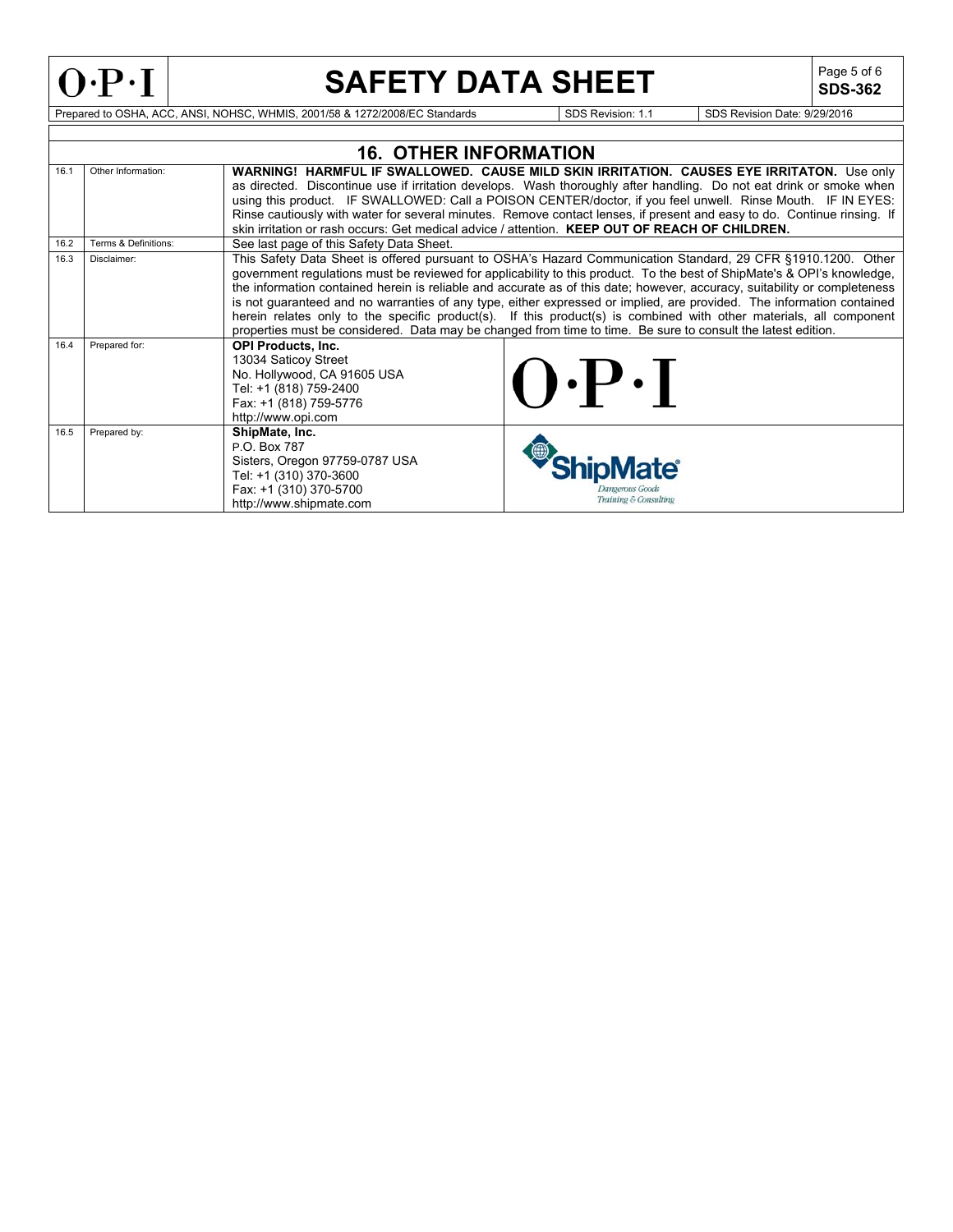

## **SAFETY DATA SHEET**

**SDS-362**

|      |                      | <b>16. OTHER INFORMATION</b>                                                                                                                                                                                                                                                                                                                                                                                                                                                                                                                                                                                                                                                                                                        |  |
|------|----------------------|-------------------------------------------------------------------------------------------------------------------------------------------------------------------------------------------------------------------------------------------------------------------------------------------------------------------------------------------------------------------------------------------------------------------------------------------------------------------------------------------------------------------------------------------------------------------------------------------------------------------------------------------------------------------------------------------------------------------------------------|--|
| 16.1 | Other Information:   | WARNING! HARMFUL IF SWALLOWED. CAUSE MILD SKIN IRRITATION. CAUSES EYE IRRITATON. Use only<br>as directed. Discontinue use if irritation develops. Wash thoroughly after handling. Do not eat drink or smoke when<br>using this product. IF SWALLOWED: Call a POISON CENTER/doctor, if you feel unwell. Rinse Mouth. IF IN EYES:<br>Rinse cautiously with water for several minutes. Remove contact lenses, if present and easy to do. Continue rinsing. If                                                                                                                                                                                                                                                                          |  |
|      |                      | skin irritation or rash occurs: Get medical advice / attention. KEEP OUT OF REACH OF CHILDREN.                                                                                                                                                                                                                                                                                                                                                                                                                                                                                                                                                                                                                                      |  |
| 16.2 | Terms & Definitions: | See last page of this Safety Data Sheet.                                                                                                                                                                                                                                                                                                                                                                                                                                                                                                                                                                                                                                                                                            |  |
| 16.3 | Disclaimer:          | This Safety Data Sheet is offered pursuant to OSHA's Hazard Communication Standard, 29 CFR §1910.1200. Other<br>government regulations must be reviewed for applicability to this product. To the best of ShipMate's & OPI's knowledge,<br>the information contained herein is reliable and accurate as of this date; however, accuracy, suitability or completeness<br>is not guaranteed and no warranties of any type, either expressed or implied, are provided. The information contained<br>herein relates only to the specific product(s). If this product(s) is combined with other materials, all component<br>properties must be considered. Data may be changed from time to time. Be sure to consult the latest edition. |  |
| 16.4 | Prepared for:        | <b>OPI Products, Inc.</b><br>13034 Saticoy Street<br>$\mathbf{Q} \cdot \mathbf{P} \cdot \mathbf{I}$<br>No. Hollywood, CA 91605 USA<br>Tel: +1 (818) 759-2400<br>Fax: +1 (818) 759-5776<br>http://www.opi.com                                                                                                                                                                                                                                                                                                                                                                                                                                                                                                                        |  |
| 16.5 | Prepared by:         | ShipMate, Inc.<br>P.O. Box 787<br>Sisters, Oregon 97759-0787 USA<br>late®<br>Tel: +1 (310) 370-3600<br>Fax: +1 (310) 370-5700<br>kmoerous Goods<br>Training & Consulting<br>http://www.shipmate.com                                                                                                                                                                                                                                                                                                                                                                                                                                                                                                                                 |  |